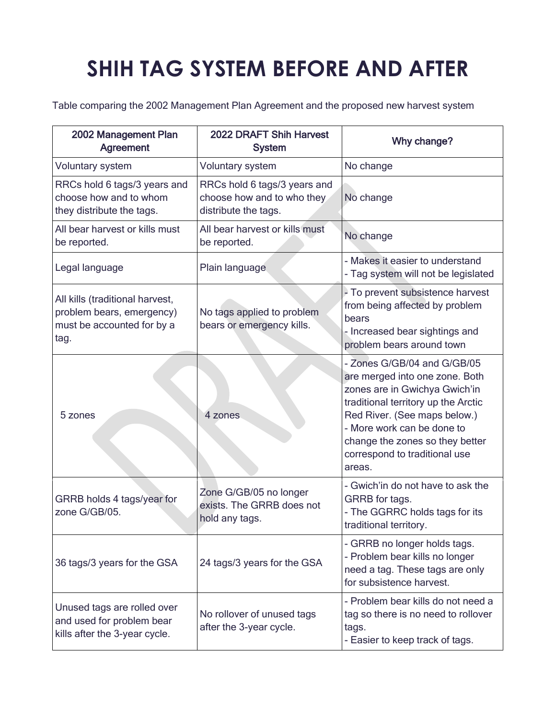## **SHIH TAG SYSTEM BEFORE AND AFTER**

Table comparing the 2002 Management Plan Agreement and the proposed new harvest system

| 2002 Management Plan<br><b>Agreement</b>                                                           | 2022 DRAFT Shih Harvest<br><b>System</b>                                           | Why change?                                                                                                                                                                                                                                                                       |
|----------------------------------------------------------------------------------------------------|------------------------------------------------------------------------------------|-----------------------------------------------------------------------------------------------------------------------------------------------------------------------------------------------------------------------------------------------------------------------------------|
| <b>Voluntary system</b>                                                                            | <b>Voluntary system</b>                                                            | No change                                                                                                                                                                                                                                                                         |
| RRCs hold 6 tags/3 years and<br>choose how and to whom<br>they distribute the tags.                | RRCs hold 6 tags/3 years and<br>choose how and to who they<br>distribute the tags. | No change                                                                                                                                                                                                                                                                         |
| All bear harvest or kills must<br>be reported.                                                     | All bear harvest or kills must<br>be reported.                                     | No change                                                                                                                                                                                                                                                                         |
| Legal language                                                                                     | Plain language                                                                     | - Makes it easier to understand<br>- Tag system will not be legislated                                                                                                                                                                                                            |
| All kills (traditional harvest,<br>problem bears, emergency)<br>must be accounted for by a<br>tag. | No tags applied to problem<br>bears or emergency kills.                            | - To prevent subsistence harvest<br>from being affected by problem<br>bears<br>- Increased bear sightings and<br>problem bears around town                                                                                                                                        |
| 5 zones                                                                                            | 4 zones                                                                            | - Zones G/GB/04 and G/GB/05<br>are merged into one zone. Both<br>zones are in Gwichya Gwich'in<br>traditional territory up the Arctic<br>Red River. (See maps below.)<br>- More work can be done to<br>change the zones so they better<br>correspond to traditional use<br>areas. |
| GRRB holds 4 tags/year for<br>zone G/GB/05.                                                        | Zone G/GB/05 no longer<br>exists. The GRRB does not<br>hold any tags.              | - Gwich'in do not have to ask the<br>GRRB for tags.<br>- The GGRRC holds tags for its<br>traditional territory.                                                                                                                                                                   |
| 36 tags/3 years for the GSA                                                                        | 24 tags/3 years for the GSA                                                        | - GRRB no longer holds tags.<br>- Problem bear kills no longer<br>need a tag. These tags are only<br>for subsistence harvest.                                                                                                                                                     |
| Unused tags are rolled over<br>and used for problem bear<br>kills after the 3-year cycle.          | No rollover of unused tags<br>after the 3-year cycle.                              | - Problem bear kills do not need a<br>tag so there is no need to rollover<br>tags.<br>- Easier to keep track of tags.                                                                                                                                                             |